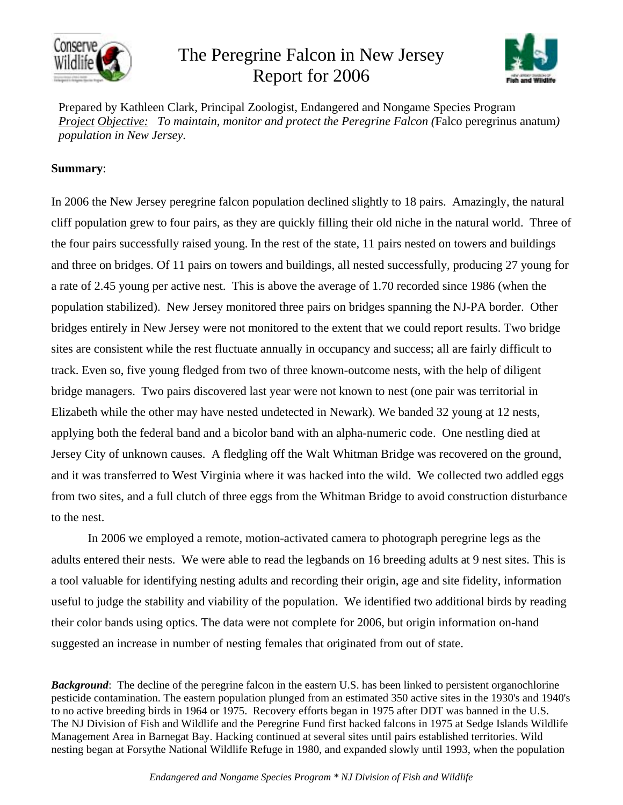

## The Peregrine Falcon in New Jersey Report for 2006



Prepared by Kathleen Clark, Principal Zoologist, Endangered and Nongame Species Program *Project Objective: To maintain, monitor and protect the Peregrine Falcon (*Falco peregrinus anatum*) population in New Jersey.*

## **Summary**:

In 2006 the New Jersey peregrine falcon population declined slightly to 18 pairs. Amazingly, the natural cliff population grew to four pairs, as they are quickly filling their old niche in the natural world. Three of the four pairs successfully raised young. In the rest of the state, 11 pairs nested on towers and buildings and three on bridges. Of 11 pairs on towers and buildings, all nested successfully, producing 27 young for a rate of 2.45 young per active nest. This is above the average of 1.70 recorded since 1986 (when the population stabilized). New Jersey monitored three pairs on bridges spanning the NJ-PA border. Other bridges entirely in New Jersey were not monitored to the extent that we could report results. Two bridge sites are consistent while the rest fluctuate annually in occupancy and success; all are fairly difficult to track. Even so, five young fledged from two of three known-outcome nests, with the help of diligent bridge managers. Two pairs discovered last year were not known to nest (one pair was territorial in Elizabeth while the other may have nested undetected in Newark). We banded 32 young at 12 nests, applying both the federal band and a bicolor band with an alpha-numeric code. One nestling died at Jersey City of unknown causes. A fledgling off the Walt Whitman Bridge was recovered on the ground, and it was transferred to West Virginia where it was hacked into the wild. We collected two addled eggs from two sites, and a full clutch of three eggs from the Whitman Bridge to avoid construction disturbance to the nest.

In 2006 we employed a remote, motion-activated camera to photograph peregrine legs as the adults entered their nests. We were able to read the legbands on 16 breeding adults at 9 nest sites. This is a tool valuable for identifying nesting adults and recording their origin, age and site fidelity, information useful to judge the stability and viability of the population. We identified two additional birds by reading their color bands using optics. The data were not complete for 2006, but origin information on-hand suggested an increase in number of nesting females that originated from out of state.

*Background*: The decline of the peregrine falcon in the eastern U.S. has been linked to persistent organochlorine pesticide contamination. The eastern population plunged from an estimated 350 active sites in the 1930's and 1940's to no active breeding birds in 1964 or 1975. Recovery efforts began in 1975 after DDT was banned in the U.S. The NJ Division of Fish and Wildlife and the Peregrine Fund first hacked falcons in 1975 at Sedge Islands Wildlife Management Area in Barnegat Bay. Hacking continued at several sites until pairs established territories. Wild nesting began at Forsythe National Wildlife Refuge in 1980, and expanded slowly until 1993, when the population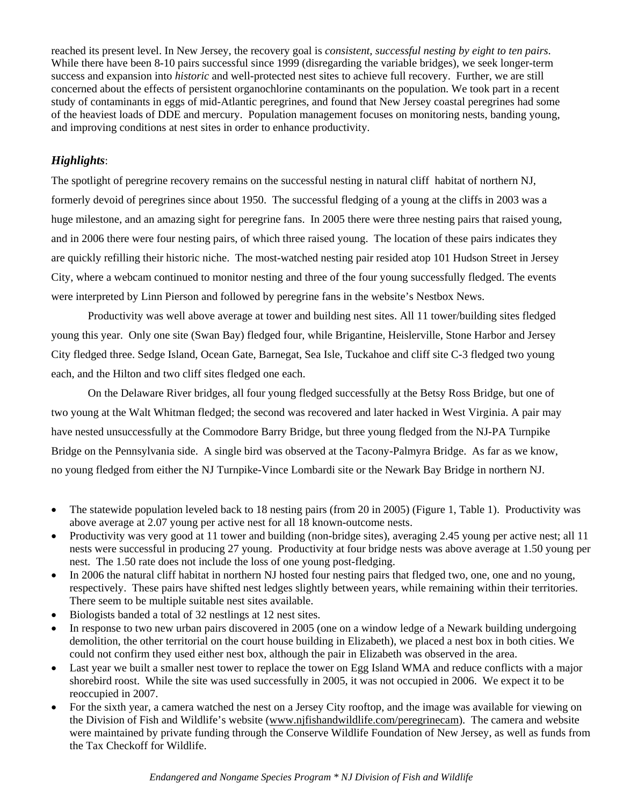reached its present level. In New Jersey, the recovery goal is *consistent, successful nesting by eight to ten pairs*. While there have been 8-10 pairs successful since 1999 (disregarding the variable bridges), we seek longer-term success and expansion into *historic* and well-protected nest sites to achieve full recovery. Further, we are still concerned about the effects of persistent organochlorine contaminants on the population. We took part in a recent study of contaminants in eggs of mid-Atlantic peregrines, and found that New Jersey coastal peregrines had some of the heaviest loads of DDE and mercury. Population management focuses on monitoring nests, banding young, and improving conditions at nest sites in order to enhance productivity.

## *Highlights*:

The spotlight of peregrine recovery remains on the successful nesting in natural cliff habitat of northern NJ, formerly devoid of peregrines since about 1950. The successful fledging of a young at the cliffs in 2003 was a huge milestone, and an amazing sight for peregrine fans. In 2005 there were three nesting pairs that raised young, and in 2006 there were four nesting pairs, of which three raised young. The location of these pairs indicates they are quickly refilling their historic niche. The most-watched nesting pair resided atop 101 Hudson Street in Jersey City, where a webcam continued to monitor nesting and three of the four young successfully fledged. The events were interpreted by Linn Pierson and followed by peregrine fans in the website's Nestbox News.

Productivity was well above average at tower and building nest sites. All 11 tower/building sites fledged young this year. Only one site (Swan Bay) fledged four, while Brigantine, Heislerville, Stone Harbor and Jersey City fledged three. Sedge Island, Ocean Gate, Barnegat, Sea Isle, Tuckahoe and cliff site C-3 fledged two young each, and the Hilton and two cliff sites fledged one each.

On the Delaware River bridges, all four young fledged successfully at the Betsy Ross Bridge, but one of two young at the Walt Whitman fledged; the second was recovered and later hacked in West Virginia. A pair may have nested unsuccessfully at the Commodore Barry Bridge, but three young fledged from the NJ-PA Turnpike Bridge on the Pennsylvania side. A single bird was observed at the Tacony-Palmyra Bridge. As far as we know, no young fledged from either the NJ Turnpike-Vince Lombardi site or the Newark Bay Bridge in northern NJ.

- The statewide population leveled back to 18 nesting pairs (from 20 in 2005) (Figure 1, Table 1). Productivity was above average at 2.07 young per active nest for all 18 known-outcome nests.
- Productivity was very good at 11 tower and building (non-bridge sites), averaging 2.45 young per active nest; all 11 nests were successful in producing 27 young. Productivity at four bridge nests was above average at 1.50 young per nest. The 1.50 rate does not include the loss of one young post-fledging.
- In 2006 the natural cliff habitat in northern NJ hosted four nesting pairs that fledged two, one, one and no young, respectively. These pairs have shifted nest ledges slightly between years, while remaining within their territories. There seem to be multiple suitable nest sites available.
- Biologists banded a total of 32 nestlings at 12 nest sites.
- In response to two new urban pairs discovered in 2005 (one on a window ledge of a Newark building undergoing demolition, the other territorial on the court house building in Elizabeth), we placed a nest box in both cities. We could not confirm they used either nest box, although the pair in Elizabeth was observed in the area.
- Last year we built a smaller nest tower to replace the tower on Egg Island WMA and reduce conflicts with a major shorebird roost. While the site was used successfully in 2005, it was not occupied in 2006. We expect it to be reoccupied in 2007.
- For the sixth year, a camera watched the nest on a Jersey City rooftop, and the image was available for viewing on the Division of Fish and Wildlife's website (www.njfishandwildlife.com/peregrinecam). The camera and website were maintained by private funding through the Conserve Wildlife Foundation of New Jersey, as well as funds from the Tax Checkoff for Wildlife.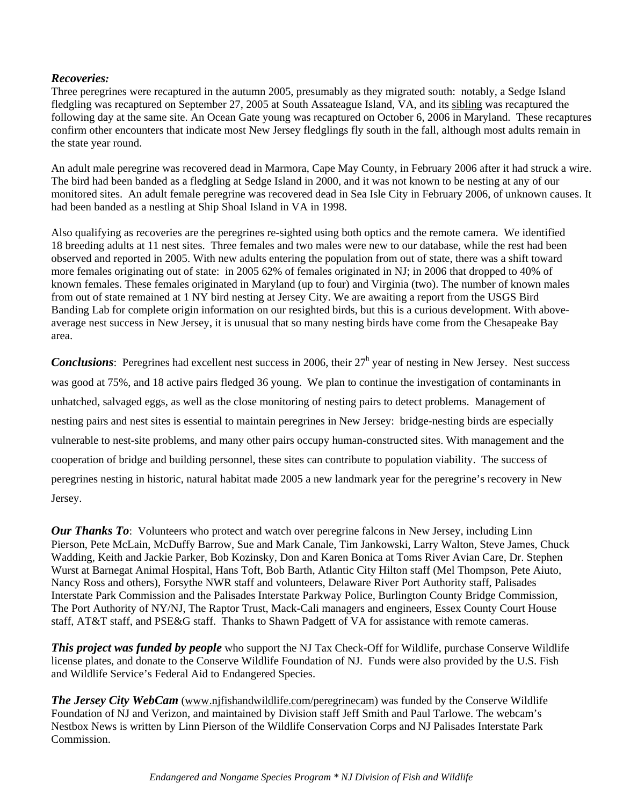## *Recoveries:*

Three peregrines were recaptured in the autumn 2005, presumably as they migrated south: notably, a Sedge Island fledgling was recaptured on September 27, 2005 at South Assateague Island, VA, and its sibling was recaptured the following day at the same site. An Ocean Gate young was recaptured on October 6, 2006 in Maryland. These recaptures confirm other encounters that indicate most New Jersey fledglings fly south in the fall, although most adults remain in the state year round.

An adult male peregrine was recovered dead in Marmora, Cape May County, in February 2006 after it had struck a wire. The bird had been banded as a fledgling at Sedge Island in 2000, and it was not known to be nesting at any of our monitored sites. An adult female peregrine was recovered dead in Sea Isle City in February 2006, of unknown causes. It had been banded as a nestling at Ship Shoal Island in VA in 1998.

Also qualifying as recoveries are the peregrines re-sighted using both optics and the remote camera. We identified 18 breeding adults at 11 nest sites. Three females and two males were new to our database, while the rest had been observed and reported in 2005. With new adults entering the population from out of state, there was a shift toward more females originating out of state: in 2005 62% of females originated in NJ; in 2006 that dropped to 40% of known females. These females originated in Maryland (up to four) and Virginia (two). The number of known males from out of state remained at 1 NY bird nesting at Jersey City. We are awaiting a report from the USGS Bird Banding Lab for complete origin information on our resighted birds, but this is a curious development. With aboveaverage nest success in New Jersey, it is unusual that so many nesting birds have come from the Chesapeake Bay area.

**Conclusions**: Peregrines had excellent nest success in 2006, their 27<sup>h</sup> year of nesting in New Jersey. Nest success was good at 75%, and 18 active pairs fledged 36 young. We plan to continue the investigation of contaminants in unhatched, salvaged eggs, as well as the close monitoring of nesting pairs to detect problems. Management of nesting pairs and nest sites is essential to maintain peregrines in New Jersey: bridge-nesting birds are especially vulnerable to nest-site problems, and many other pairs occupy human-constructed sites. With management and the cooperation of bridge and building personnel, these sites can contribute to population viability. The success of peregrines nesting in historic, natural habitat made 2005 a new landmark year for the peregrine's recovery in New Jersey.

*Our Thanks To*: Volunteers who protect and watch over peregrine falcons in New Jersey, including Linn Pierson, Pete McLain, McDuffy Barrow, Sue and Mark Canale, Tim Jankowski, Larry Walton, Steve James, Chuck Wadding, Keith and Jackie Parker, Bob Kozinsky, Don and Karen Bonica at Toms River Avian Care, Dr. Stephen Wurst at Barnegat Animal Hospital, Hans Toft, Bob Barth, Atlantic City Hilton staff (Mel Thompson, Pete Aiuto, Nancy Ross and others), Forsythe NWR staff and volunteers, Delaware River Port Authority staff, Palisades Interstate Park Commission and the Palisades Interstate Parkway Police, Burlington County Bridge Commission, The Port Authority of NY/NJ, The Raptor Trust, Mack-Cali managers and engineers, Essex County Court House staff, AT&T staff, and PSE&G staff. Thanks to Shawn Padgett of VA for assistance with remote cameras.

*This project was funded by people* who support the NJ Tax Check-Off for Wildlife, purchase Conserve Wildlife license plates, and donate to the Conserve Wildlife Foundation of NJ. Funds were also provided by the U.S. Fish and Wildlife Service's Federal Aid to Endangered Species.

*The Jersey City WebCam* (www.njfishandwildlife.com/peregrinecam) was funded by the Conserve Wildlife Foundation of NJ and Verizon, and maintained by Division staff Jeff Smith and Paul Tarlowe. The webcam's Nestbox News is written by Linn Pierson of the Wildlife Conservation Corps and NJ Palisades Interstate Park Commission.